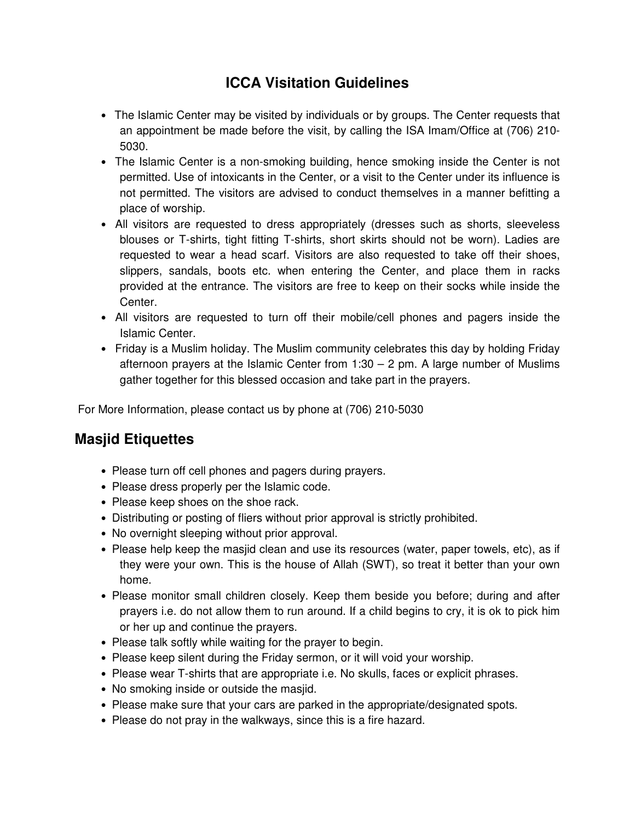# **ICCA Visitation Guidelines**

- The Islamic Center may be visited by individuals or by groups. The Center requests that an appointment be made before the visit, by calling the ISA Imam/Office at (706) 210- 5030.
- The Islamic Center is a non-smoking building, hence smoking inside the Center is not permitted. Use of intoxicants in the Center, or a visit to the Center under its influence is not permitted. The visitors are advised to conduct themselves in a manner befitting a place of worship.
- All visitors are requested to dress appropriately (dresses such as shorts, sleeveless blouses or T-shirts, tight fitting T-shirts, short skirts should not be worn). Ladies are requested to wear a head scarf. Visitors are also requested to take off their shoes, slippers, sandals, boots etc. when entering the Center, and place them in racks provided at the entrance. The visitors are free to keep on their socks while inside the Center.
- All visitors are requested to turn off their mobile/cell phones and pagers inside the Islamic Center.
- Friday is a Muslim holiday. The Muslim community celebrates this day by holding Friday afternoon prayers at the Islamic Center from  $1:30 - 2$  pm. A large number of Muslims gather together for this blessed occasion and take part in the prayers.

For More Information, please contact us by phone at (706) 210-5030

## **Masjid Etiquettes**

- Please turn off cell phones and pagers during prayers.
- Please dress properly per the Islamic code.
- Please keep shoes on the shoe rack.
- Distributing or posting of fliers without prior approval is strictly prohibited.
- No overnight sleeping without prior approval.
- Please help keep the masjid clean and use its resources (water, paper towels, etc), as if they were your own. This is the house of Allah (SWT), so treat it better than your own home.
- Please monitor small children closely. Keep them beside you before; during and after prayers i.e. do not allow them to run around. If a child begins to cry, it is ok to pick him or her up and continue the prayers.
- Please talk softly while waiting for the prayer to begin.
- Please keep silent during the Friday sermon, or it will void your worship.
- Please wear T-shirts that are appropriate i.e. No skulls, faces or explicit phrases.
- No smoking inside or outside the masjid.
- Please make sure that your cars are parked in the appropriate/designated spots.
- Please do not pray in the walkways, since this is a fire hazard.